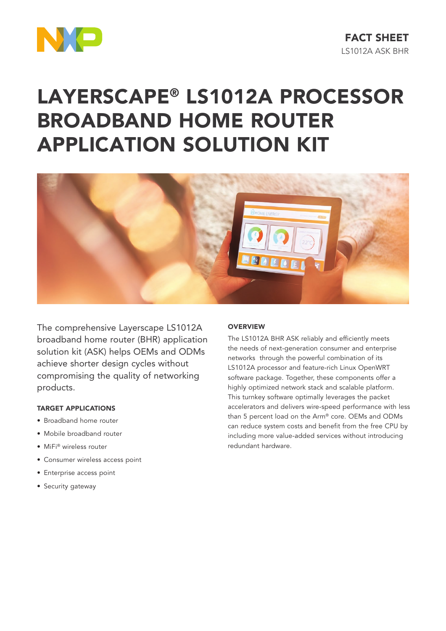

# LAYERSCAPE® LS1012A PROCESSOR BROADBAND HOME ROUTER APPLICATION SOLUTION KIT



The comprehensive Layerscape LS1012A broadband home router (BHR) application solution kit (ASK) helps OEMs and ODMs achieve shorter design cycles without compromising the quality of networking products.

#### TARGET APPLICATIONS

- Broadband home router
- Mobile broadband router
- MiFi® wireless router
- Consumer wireless access point
- Enterprise access point
- Security gateway

## **OVERVIEW**

The LS1012A BHR ASK reliably and efficiently meets the needs of next-generation consumer and enterprise networks through the powerful combination of its LS1012A processor and feature-rich Linux OpenWRT software package. Together, these components offer a highly optimized network stack and scalable platform. This turnkey software optimally leverages the packet accelerators and delivers wire-speed performance with less than 5 percent load on the Arm® core. OEMs and ODMs can reduce system costs and benefit from the free CPU by including more value-added services without introducing redundant hardware.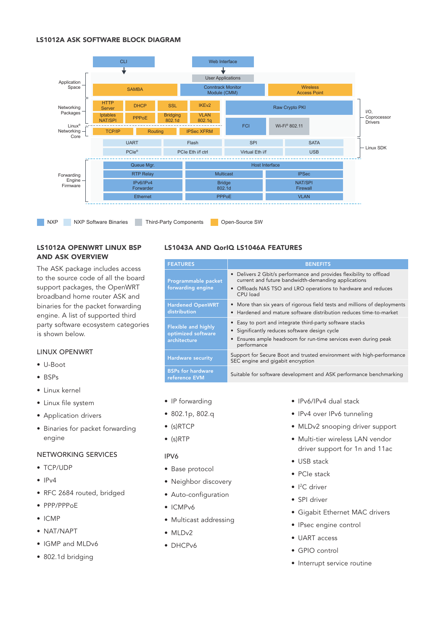#### LS1012A ASK SOFTWARE BLOCK DIAGRAM



# LS1012A OPENWRT LINUX BSP AND ASK OVERVIEW

The ASK package includes access to the source code of all the board support packages, the OpenWRT broadband home router ASK and binaries for the packet forwarding engine. A list of supported third party software ecosystem categories is shown below.

#### LINUX OPENWRT

- U-Boot
- BSPs
- Linux kernel
- Linux file system
- Application drivers
- Binaries for packet forwarding engine

#### NETWORKING SERVICES

- TCP/UDP
- $\bullet$  IPv4
- RFC 2684 routed, bridged
- PPP/PPPoE
- ICMP
- NAT/NAPT
- IGMP and MLDv6
- 802.1d bridging

## LS1043A AND QorIQ LS1046A FEATURES

| <b>FEATURES</b>                                                  | <b>BENEFITS</b>                                                                                                                                                                                         |  |
|------------------------------------------------------------------|---------------------------------------------------------------------------------------------------------------------------------------------------------------------------------------------------------|--|
| Programmable packet<br>forwarding engine                         | • Delivers 2 Gbit/s performance and provides flexibility to offload<br>current and future bandwidth-demanding applications<br>• Offloads NAS TSO and LRO operations to hardware and reduces<br>CPU load |  |
| <b>Hardened OpenWRT</b><br>distribution                          | • More than six years of rigorous field tests and millions of deployments<br>• Hardened and mature software distribution reduces time-to-market                                                         |  |
| <b>Flexible and highly</b><br>optimized software<br>architecture | • Easy to port and integrate third-party software stacks<br>• Significantly reduces software design cycle<br>Ensures ample headroom for run-time services even during peak<br>performance               |  |
| <b>Hardware security</b>                                         | Support for Secure Boot and trusted environment with high-performance<br>SEC engine and gigabit encryption                                                                                              |  |
| <b>BSPs for hardware</b><br>reference EVM                        | Suitable for software development and ASK performance benchmarking                                                                                                                                      |  |

- IP forwarding
- 802.1p, 802.q
- (s)RTCP
- (s)RTP

#### IPV6

- Base protocol
- Neighbor discovery
- Auto-configuration
- ICMPv6
- Multicast addressing
- $\bullet$  MLD<sub>v2</sub>
- DHCPv6
- IPv6/IPv4 dual stack
- IPv4 over IPv6 tunneling
- MLDv2 snooping driver support
- Multi-tier wireless LAN vendor driver support for 1n and 11ac
- USB stack
- PCIe stack
- <sup>2</sup>C driver
- SPI driver
- Gigabit Ethernet MAC drivers
- IPsec engine control
- UART access
- GPIO control
- Interrupt service routine